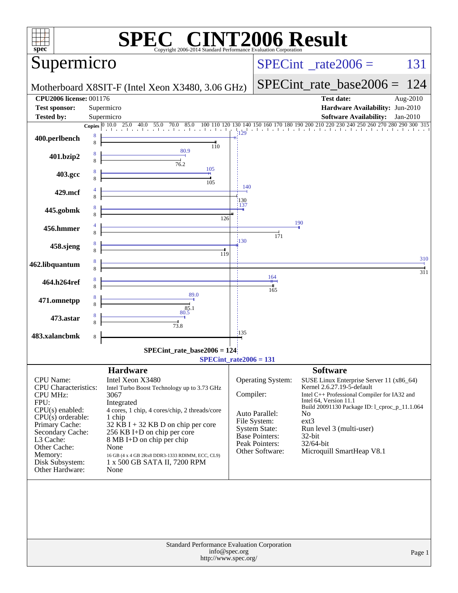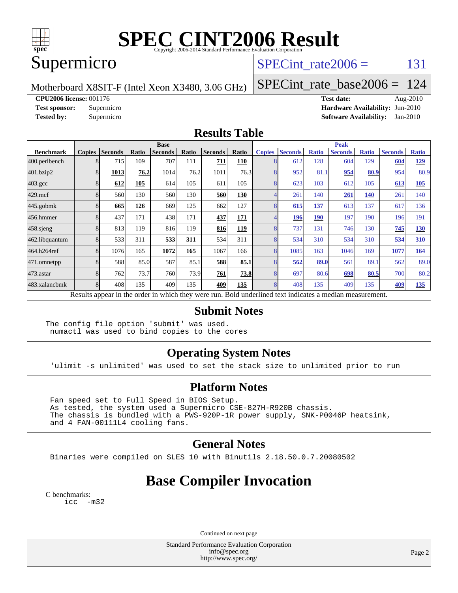

# **[SPEC CINT2006 Result](http://www.spec.org/auto/cpu2006/Docs/result-fields.html#SPECCINT2006Result)**

### Supermicro

#### SPECint rate $2006 = 131$

Motherboard X8SIT-F (Intel Xeon X3480, 3.06 GHz)

[SPECint\\_rate\\_base2006 =](http://www.spec.org/auto/cpu2006/Docs/result-fields.html#SPECintratebase2006) 124

**[CPU2006 license:](http://www.spec.org/auto/cpu2006/Docs/result-fields.html#CPU2006license)** 001176 **[Test date:](http://www.spec.org/auto/cpu2006/Docs/result-fields.html#Testdate)** Aug-2010

**[Test sponsor:](http://www.spec.org/auto/cpu2006/Docs/result-fields.html#Testsponsor)** Supermicro **[Hardware Availability:](http://www.spec.org/auto/cpu2006/Docs/result-fields.html#HardwareAvailability)** Jun-2010 **[Tested by:](http://www.spec.org/auto/cpu2006/Docs/result-fields.html#Testedby)** Supermicro **[Software Availability:](http://www.spec.org/auto/cpu2006/Docs/result-fields.html#SoftwareAvailability)** Jan-2010

#### **[Results Table](http://www.spec.org/auto/cpu2006/Docs/result-fields.html#ResultsTable)**

|                  | <b>Base</b>                                                                                              |                |       |                |       |                |              |               | <b>Peak</b>    |              |                |              |                |              |  |
|------------------|----------------------------------------------------------------------------------------------------------|----------------|-------|----------------|-------|----------------|--------------|---------------|----------------|--------------|----------------|--------------|----------------|--------------|--|
| <b>Benchmark</b> | <b>Copies</b>                                                                                            | <b>Seconds</b> | Ratio | <b>Seconds</b> | Ratio | <b>Seconds</b> | <b>Ratio</b> | <b>Copies</b> | <b>Seconds</b> | <b>Ratio</b> | <b>Seconds</b> | <b>Ratio</b> | <b>Seconds</b> | <b>Ratio</b> |  |
| 400.perlbench    |                                                                                                          | 715            | 109   | 707            | 111   | 711            | 110          |               | 612            | 128          | 604            | 129          | 604            | <u>129</u>   |  |
| 401.bzip2        |                                                                                                          | 1013           | 76.2  | 1014           | 76.2  | 1011           | 76.3         |               | 952            | 81.1         | 954            | 80.9         | 954            | 80.9         |  |
| $403.\text{gcc}$ |                                                                                                          | 612            | 105   | 614            | 105   | 611            | 105          |               | 623            | 103          | 612            | 105          | 613            | 105          |  |
| $429$ .mcf       |                                                                                                          | 560            | 130   | 560            | 130   | 560            | 130          |               | 261            | 140          | 261            | 140          | 261            | 140          |  |
| $445$ .gobmk     |                                                                                                          | 665            | 126   | 669            | 125   | 662            | 127          |               | 615            | <u>137</u>   | 613            | 137          | 617            | 136          |  |
| 456.hmmer        |                                                                                                          | 437            | 171   | 438            | 171   | 437            | 171          |               | 196            | <b>190</b>   | 197            | 190          | 196            | 191          |  |
| $458$ .sjeng     |                                                                                                          | 813            | 119   | 816            | 119   | 816            | 119          | 8             | 737            | 131          | 746            | 130          | 745            | <b>130</b>   |  |
| 462.libquantum   |                                                                                                          | 533            | 311   | 533            | 311   | 534            | 311          |               | 534            | 310          | 534            | 310          | 534            | 310          |  |
| 464.h264ref      |                                                                                                          | 1076           | 165   | 1072           | 165   | 1067           | 166          |               | 1085           | 163          | 1046           | 169          | 1077           | 164          |  |
| 471.omnetpp      |                                                                                                          | 588            | 85.0  | 587            | 85.1  | 588            | 85.1         |               | 562            | 89.0         | 561            | 89.1         | 562            | 89.0         |  |
| 473.astar        |                                                                                                          | 762            | 73.7  | 760            | 73.9  | 761            | 73.8         |               | 697            | 80.6         | 698            | 80.5         | 700            | 80.2         |  |
| 483.xalancbmk    |                                                                                                          | 408            | 135   | 409            | 135   | 409            | 135          |               | 408            | 135          | 409            | 135          | 409            | <u>135</u>   |  |
|                  | Results appear in the order in which they were run. Bold underlined text indicates a median measurement. |                |       |                |       |                |              |               |                |              |                |              |                |              |  |

#### **[Submit Notes](http://www.spec.org/auto/cpu2006/Docs/result-fields.html#SubmitNotes)**

The config file option 'submit' was used. numactl was used to bind copies to the cores

#### **[Operating System Notes](http://www.spec.org/auto/cpu2006/Docs/result-fields.html#OperatingSystemNotes)**

'ulimit -s unlimited' was used to set the stack size to unlimited prior to run

#### **[Platform Notes](http://www.spec.org/auto/cpu2006/Docs/result-fields.html#PlatformNotes)**

 Fan speed set to Full Speed in BIOS Setup. As tested, the system used a Supermicro CSE-827H-R920B chassis. The chassis is bundled with a PWS-920P-1R power supply, SNK-P0046P heatsink, and 4 FAN-00111L4 cooling fans.

#### **[General Notes](http://www.spec.org/auto/cpu2006/Docs/result-fields.html#GeneralNotes)**

Binaries were compiled on SLES 10 with Binutils 2.18.50.0.7.20080502

### **[Base Compiler Invocation](http://www.spec.org/auto/cpu2006/Docs/result-fields.html#BaseCompilerInvocation)**

[C benchmarks](http://www.spec.org/auto/cpu2006/Docs/result-fields.html#Cbenchmarks): [icc -m32](http://www.spec.org/cpu2006/results/res2010q3/cpu2006-20100913-13243.flags.html#user_CCbase_intel_icc_32bit_5ff4a39e364c98233615fdd38438c6f2)

Continued on next page

Standard Performance Evaluation Corporation [info@spec.org](mailto:info@spec.org) <http://www.spec.org/>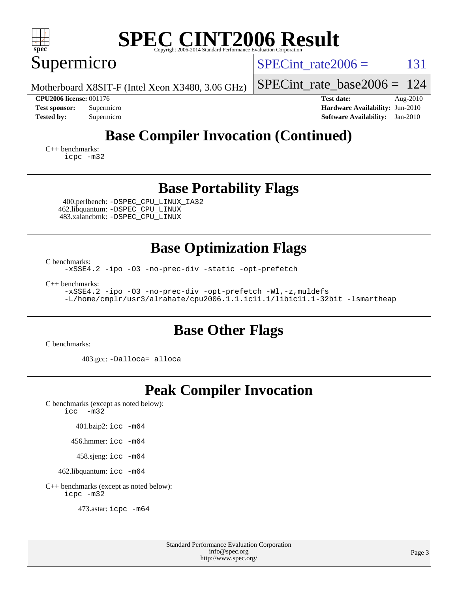| <b>SPEC CINT2006 Result</b><br>spec <sup>®</sup><br>Copyright 2006-2014 Standard Performance Evaluation Corporation                                                                                                                                                        |                                                                                                                 |
|----------------------------------------------------------------------------------------------------------------------------------------------------------------------------------------------------------------------------------------------------------------------------|-----------------------------------------------------------------------------------------------------------------|
| Supermicro                                                                                                                                                                                                                                                                 | 131<br>$SPECint rate 2006 =$                                                                                    |
| Motherboard X8SIT-F (Intel Xeon X3480, 3.06 GHz)                                                                                                                                                                                                                           | 124<br>$SPECint_rate_base2006 =$                                                                                |
| <b>CPU2006 license: 001176</b><br><b>Test sponsor:</b><br>Supermicro<br>Supermicro<br><b>Tested by:</b>                                                                                                                                                                    | <b>Test date:</b><br>Aug-2010<br>Hardware Availability: Jun-2010<br>$Jan-2010$<br><b>Software Availability:</b> |
| <b>Base Compiler Invocation (Continued)</b><br>$C++$ benchmarks:<br>icpc -m32                                                                                                                                                                                              |                                                                                                                 |
| <b>Base Portability Flags</b><br>400.perlbench: -DSPEC_CPU_LINUX_IA32<br>462.libquantum: - DSPEC CPU LINUX<br>483.xalancbmk: - DSPEC_CPU_LINUX                                                                                                                             |                                                                                                                 |
| <b>Base Optimization Flags</b><br>C benchmarks:<br>-xSSE4.2 -ipo -03 -no-prec-div -static -opt-prefetch<br>$C++$ benchmarks:<br>-xSSE4.2 -ipo -03 -no-prec-div -opt-prefetch -Wl,-z, muldefs<br>-L/home/cmplr/usr3/alrahate/cpu2006.1.1.ic11.1/libic11.1-32bit -lsmartheap |                                                                                                                 |
| <b>Base Other Flags</b>                                                                                                                                                                                                                                                    |                                                                                                                 |
| C benchmarks:<br>403.gcc: -Dalloca=_alloca                                                                                                                                                                                                                                 |                                                                                                                 |
| <b>Peak Compiler Invocation</b><br>C benchmarks (except as noted below):<br>$\text{icc}$ -m32<br>401.bzip2: icc -m64<br>$456.$ hmmer: icc $-m64$<br>458.sjeng: icc -m64<br>462.libquantum: icc -m64                                                                        |                                                                                                                 |
|                                                                                                                                                                                                                                                                            |                                                                                                                 |

[C++ benchmarks \(except as noted below\):](http://www.spec.org/auto/cpu2006/Docs/result-fields.html#CXXbenchmarksexceptasnotedbelow) [icpc -m32](http://www.spec.org/cpu2006/results/res2010q3/cpu2006-20100913-13243.flags.html#user_CXXpeak_intel_icpc_32bit_4e5a5ef1a53fd332b3c49e69c3330699)

473.astar: [icpc -m64](http://www.spec.org/cpu2006/results/res2010q3/cpu2006-20100913-13243.flags.html#user_peakCXXLD473_astar_intel_icpc_64bit_fc66a5337ce925472a5c54ad6a0de310)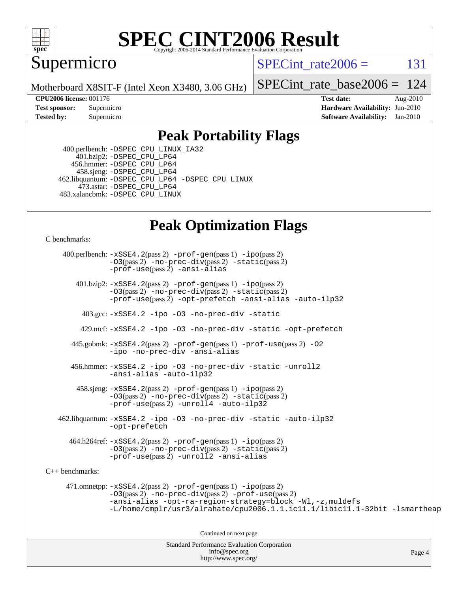

# **[SPEC CINT2006 Result](http://www.spec.org/auto/cpu2006/Docs/result-fields.html#SPECCINT2006Result)**

Supermicro

SPECint rate $2006 = 131$ 

Motherboard X8SIT-F (Intel Xeon X3480, 3.06 GHz)

[SPECint\\_rate\\_base2006 =](http://www.spec.org/auto/cpu2006/Docs/result-fields.html#SPECintratebase2006) 124

**[CPU2006 license:](http://www.spec.org/auto/cpu2006/Docs/result-fields.html#CPU2006license)** 001176 **[Test date:](http://www.spec.org/auto/cpu2006/Docs/result-fields.html#Testdate)** Aug-2010 **[Test sponsor:](http://www.spec.org/auto/cpu2006/Docs/result-fields.html#Testsponsor)** Supermicro Supermicro **[Hardware Availability:](http://www.spec.org/auto/cpu2006/Docs/result-fields.html#HardwareAvailability)** Jun-2010 **[Tested by:](http://www.spec.org/auto/cpu2006/Docs/result-fields.html#Testedby)** Supermicro **[Software Availability:](http://www.spec.org/auto/cpu2006/Docs/result-fields.html#SoftwareAvailability)** Jan-2010

#### **[Peak Portability Flags](http://www.spec.org/auto/cpu2006/Docs/result-fields.html#PeakPortabilityFlags)**

 400.perlbench: [-DSPEC\\_CPU\\_LINUX\\_IA32](http://www.spec.org/cpu2006/results/res2010q3/cpu2006-20100913-13243.flags.html#b400.perlbench_peakCPORTABILITY_DSPEC_CPU_LINUX_IA32) 401.bzip2: [-DSPEC\\_CPU\\_LP64](http://www.spec.org/cpu2006/results/res2010q3/cpu2006-20100913-13243.flags.html#suite_peakCPORTABILITY401_bzip2_DSPEC_CPU_LP64) 456.hmmer: [-DSPEC\\_CPU\\_LP64](http://www.spec.org/cpu2006/results/res2010q3/cpu2006-20100913-13243.flags.html#suite_peakCPORTABILITY456_hmmer_DSPEC_CPU_LP64) 458.sjeng: [-DSPEC\\_CPU\\_LP64](http://www.spec.org/cpu2006/results/res2010q3/cpu2006-20100913-13243.flags.html#suite_peakCPORTABILITY458_sjeng_DSPEC_CPU_LP64) 462.libquantum: [-DSPEC\\_CPU\\_LP64](http://www.spec.org/cpu2006/results/res2010q3/cpu2006-20100913-13243.flags.html#suite_peakCPORTABILITY462_libquantum_DSPEC_CPU_LP64) [-DSPEC\\_CPU\\_LINUX](http://www.spec.org/cpu2006/results/res2010q3/cpu2006-20100913-13243.flags.html#b462.libquantum_peakCPORTABILITY_DSPEC_CPU_LINUX) 473.astar: [-DSPEC\\_CPU\\_LP64](http://www.spec.org/cpu2006/results/res2010q3/cpu2006-20100913-13243.flags.html#suite_peakCXXPORTABILITY473_astar_DSPEC_CPU_LP64) 483.xalancbmk: [-DSPEC\\_CPU\\_LINUX](http://www.spec.org/cpu2006/results/res2010q3/cpu2006-20100913-13243.flags.html#b483.xalancbmk_peakCXXPORTABILITY_DSPEC_CPU_LINUX)

### **[Peak Optimization Flags](http://www.spec.org/auto/cpu2006/Docs/result-fields.html#PeakOptimizationFlags)**

[C benchmarks](http://www.spec.org/auto/cpu2006/Docs/result-fields.html#Cbenchmarks):

Standard Performance Evaluation Corporation Page 4 400.perlbench: [-xSSE4.2](http://www.spec.org/cpu2006/results/res2010q3/cpu2006-20100913-13243.flags.html#user_peakPASS2_CFLAGSPASS2_LDCFLAGS400_perlbench_f-xSSE42_f91528193cf0b216347adb8b939d4107)(pass 2) [-prof-gen](http://www.spec.org/cpu2006/results/res2010q3/cpu2006-20100913-13243.flags.html#user_peakPASS1_CFLAGSPASS1_LDCFLAGS400_perlbench_prof_gen_e43856698f6ca7b7e442dfd80e94a8fc)(pass 1) [-ipo](http://www.spec.org/cpu2006/results/res2010q3/cpu2006-20100913-13243.flags.html#user_peakPASS2_CFLAGSPASS2_LDCFLAGS400_perlbench_f-ipo)(pass 2) [-O3](http://www.spec.org/cpu2006/results/res2010q3/cpu2006-20100913-13243.flags.html#user_peakPASS2_CFLAGSPASS2_LDCFLAGS400_perlbench_f-O3)(pass 2) [-no-prec-div](http://www.spec.org/cpu2006/results/res2010q3/cpu2006-20100913-13243.flags.html#user_peakPASS2_CFLAGSPASS2_LDCFLAGS400_perlbench_f-no-prec-div)(pass 2) [-static](http://www.spec.org/cpu2006/results/res2010q3/cpu2006-20100913-13243.flags.html#user_peakPASS2_CFLAGSPASS2_LDCFLAGS400_perlbench_f-static)(pass 2) [-prof-use](http://www.spec.org/cpu2006/results/res2010q3/cpu2006-20100913-13243.flags.html#user_peakPASS2_CFLAGSPASS2_LDCFLAGS400_perlbench_prof_use_bccf7792157ff70d64e32fe3e1250b55)(pass 2) [-ansi-alias](http://www.spec.org/cpu2006/results/res2010q3/cpu2006-20100913-13243.flags.html#user_peakCOPTIMIZE400_perlbench_f-ansi-alias) 401.bzip2: [-xSSE4.2](http://www.spec.org/cpu2006/results/res2010q3/cpu2006-20100913-13243.flags.html#user_peakPASS2_CFLAGSPASS2_LDCFLAGS401_bzip2_f-xSSE42_f91528193cf0b216347adb8b939d4107)(pass 2) [-prof-gen](http://www.spec.org/cpu2006/results/res2010q3/cpu2006-20100913-13243.flags.html#user_peakPASS1_CFLAGSPASS1_LDCFLAGS401_bzip2_prof_gen_e43856698f6ca7b7e442dfd80e94a8fc)(pass 1) [-ipo](http://www.spec.org/cpu2006/results/res2010q3/cpu2006-20100913-13243.flags.html#user_peakPASS2_CFLAGSPASS2_LDCFLAGS401_bzip2_f-ipo)(pass 2) [-O3](http://www.spec.org/cpu2006/results/res2010q3/cpu2006-20100913-13243.flags.html#user_peakPASS2_CFLAGSPASS2_LDCFLAGS401_bzip2_f-O3)(pass 2) [-no-prec-div](http://www.spec.org/cpu2006/results/res2010q3/cpu2006-20100913-13243.flags.html#user_peakPASS2_CFLAGSPASS2_LDCFLAGS401_bzip2_f-no-prec-div)(pass 2) [-static](http://www.spec.org/cpu2006/results/res2010q3/cpu2006-20100913-13243.flags.html#user_peakPASS2_CFLAGSPASS2_LDCFLAGS401_bzip2_f-static)(pass 2) [-prof-use](http://www.spec.org/cpu2006/results/res2010q3/cpu2006-20100913-13243.flags.html#user_peakPASS2_CFLAGSPASS2_LDCFLAGS401_bzip2_prof_use_bccf7792157ff70d64e32fe3e1250b55)(pass 2) [-opt-prefetch](http://www.spec.org/cpu2006/results/res2010q3/cpu2006-20100913-13243.flags.html#user_peakCOPTIMIZE401_bzip2_f-opt-prefetch) [-ansi-alias](http://www.spec.org/cpu2006/results/res2010q3/cpu2006-20100913-13243.flags.html#user_peakCOPTIMIZE401_bzip2_f-ansi-alias) [-auto-ilp32](http://www.spec.org/cpu2006/results/res2010q3/cpu2006-20100913-13243.flags.html#user_peakCOPTIMIZE401_bzip2_f-auto-ilp32) 403.gcc: [-xSSE4.2](http://www.spec.org/cpu2006/results/res2010q3/cpu2006-20100913-13243.flags.html#user_peakCOPTIMIZE403_gcc_f-xSSE42_f91528193cf0b216347adb8b939d4107) [-ipo](http://www.spec.org/cpu2006/results/res2010q3/cpu2006-20100913-13243.flags.html#user_peakCOPTIMIZE403_gcc_f-ipo) [-O3](http://www.spec.org/cpu2006/results/res2010q3/cpu2006-20100913-13243.flags.html#user_peakCOPTIMIZE403_gcc_f-O3) [-no-prec-div](http://www.spec.org/cpu2006/results/res2010q3/cpu2006-20100913-13243.flags.html#user_peakCOPTIMIZE403_gcc_f-no-prec-div) [-static](http://www.spec.org/cpu2006/results/res2010q3/cpu2006-20100913-13243.flags.html#user_peakCOPTIMIZE403_gcc_f-static) 429.mcf: [-xSSE4.2](http://www.spec.org/cpu2006/results/res2010q3/cpu2006-20100913-13243.flags.html#user_peakCOPTIMIZE429_mcf_f-xSSE42_f91528193cf0b216347adb8b939d4107) [-ipo](http://www.spec.org/cpu2006/results/res2010q3/cpu2006-20100913-13243.flags.html#user_peakCOPTIMIZE429_mcf_f-ipo) [-O3](http://www.spec.org/cpu2006/results/res2010q3/cpu2006-20100913-13243.flags.html#user_peakCOPTIMIZE429_mcf_f-O3) [-no-prec-div](http://www.spec.org/cpu2006/results/res2010q3/cpu2006-20100913-13243.flags.html#user_peakCOPTIMIZE429_mcf_f-no-prec-div) [-static](http://www.spec.org/cpu2006/results/res2010q3/cpu2006-20100913-13243.flags.html#user_peakCOPTIMIZE429_mcf_f-static) [-opt-prefetch](http://www.spec.org/cpu2006/results/res2010q3/cpu2006-20100913-13243.flags.html#user_peakCOPTIMIZE429_mcf_f-opt-prefetch) 445.gobmk: [-xSSE4.2](http://www.spec.org/cpu2006/results/res2010q3/cpu2006-20100913-13243.flags.html#user_peakPASS2_CFLAGSPASS2_LDCFLAGS445_gobmk_f-xSSE42_f91528193cf0b216347adb8b939d4107)(pass 2) [-prof-gen](http://www.spec.org/cpu2006/results/res2010q3/cpu2006-20100913-13243.flags.html#user_peakPASS1_CFLAGSPASS1_LDCFLAGS445_gobmk_prof_gen_e43856698f6ca7b7e442dfd80e94a8fc)(pass 1) [-prof-use](http://www.spec.org/cpu2006/results/res2010q3/cpu2006-20100913-13243.flags.html#user_peakPASS2_CFLAGSPASS2_LDCFLAGS445_gobmk_prof_use_bccf7792157ff70d64e32fe3e1250b55)(pass 2) [-O2](http://www.spec.org/cpu2006/results/res2010q3/cpu2006-20100913-13243.flags.html#user_peakCOPTIMIZE445_gobmk_f-O2) [-ipo](http://www.spec.org/cpu2006/results/res2010q3/cpu2006-20100913-13243.flags.html#user_peakCOPTIMIZE445_gobmk_f-ipo) [-no-prec-div](http://www.spec.org/cpu2006/results/res2010q3/cpu2006-20100913-13243.flags.html#user_peakCOPTIMIZE445_gobmk_f-no-prec-div) [-ansi-alias](http://www.spec.org/cpu2006/results/res2010q3/cpu2006-20100913-13243.flags.html#user_peakCOPTIMIZE445_gobmk_f-ansi-alias) 456.hmmer: [-xSSE4.2](http://www.spec.org/cpu2006/results/res2010q3/cpu2006-20100913-13243.flags.html#user_peakCOPTIMIZE456_hmmer_f-xSSE42_f91528193cf0b216347adb8b939d4107) [-ipo](http://www.spec.org/cpu2006/results/res2010q3/cpu2006-20100913-13243.flags.html#user_peakCOPTIMIZE456_hmmer_f-ipo) [-O3](http://www.spec.org/cpu2006/results/res2010q3/cpu2006-20100913-13243.flags.html#user_peakCOPTIMIZE456_hmmer_f-O3) [-no-prec-div](http://www.spec.org/cpu2006/results/res2010q3/cpu2006-20100913-13243.flags.html#user_peakCOPTIMIZE456_hmmer_f-no-prec-div) [-static](http://www.spec.org/cpu2006/results/res2010q3/cpu2006-20100913-13243.flags.html#user_peakCOPTIMIZE456_hmmer_f-static) [-unroll2](http://www.spec.org/cpu2006/results/res2010q3/cpu2006-20100913-13243.flags.html#user_peakCOPTIMIZE456_hmmer_f-unroll_784dae83bebfb236979b41d2422d7ec2) [-ansi-alias](http://www.spec.org/cpu2006/results/res2010q3/cpu2006-20100913-13243.flags.html#user_peakCOPTIMIZE456_hmmer_f-ansi-alias) [-auto-ilp32](http://www.spec.org/cpu2006/results/res2010q3/cpu2006-20100913-13243.flags.html#user_peakCOPTIMIZE456_hmmer_f-auto-ilp32)  $458 \text{.}$  sjeng:  $-xSSE4$ .  $2(\text{pass 2})$  -prof-qen(pass 1) [-ipo](http://www.spec.org/cpu2006/results/res2010q3/cpu2006-20100913-13243.flags.html#user_peakPASS2_CFLAGSPASS2_LDCFLAGS458_sjeng_f-ipo)(pass 2) [-O3](http://www.spec.org/cpu2006/results/res2010q3/cpu2006-20100913-13243.flags.html#user_peakPASS2_CFLAGSPASS2_LDCFLAGS458_sjeng_f-O3)(pass 2) [-no-prec-div](http://www.spec.org/cpu2006/results/res2010q3/cpu2006-20100913-13243.flags.html#user_peakPASS2_CFLAGSPASS2_LDCFLAGS458_sjeng_f-no-prec-div)(pass 2) [-static](http://www.spec.org/cpu2006/results/res2010q3/cpu2006-20100913-13243.flags.html#user_peakPASS2_CFLAGSPASS2_LDCFLAGS458_sjeng_f-static)(pass 2) [-prof-use](http://www.spec.org/cpu2006/results/res2010q3/cpu2006-20100913-13243.flags.html#user_peakPASS2_CFLAGSPASS2_LDCFLAGS458_sjeng_prof_use_bccf7792157ff70d64e32fe3e1250b55)(pass 2) [-unroll4](http://www.spec.org/cpu2006/results/res2010q3/cpu2006-20100913-13243.flags.html#user_peakCOPTIMIZE458_sjeng_f-unroll_4e5e4ed65b7fd20bdcd365bec371b81f) [-auto-ilp32](http://www.spec.org/cpu2006/results/res2010q3/cpu2006-20100913-13243.flags.html#user_peakCOPTIMIZE458_sjeng_f-auto-ilp32) 462.libquantum: [-xSSE4.2](http://www.spec.org/cpu2006/results/res2010q3/cpu2006-20100913-13243.flags.html#user_peakCOPTIMIZE462_libquantum_f-xSSE42_f91528193cf0b216347adb8b939d4107) [-ipo](http://www.spec.org/cpu2006/results/res2010q3/cpu2006-20100913-13243.flags.html#user_peakCOPTIMIZE462_libquantum_f-ipo) [-O3](http://www.spec.org/cpu2006/results/res2010q3/cpu2006-20100913-13243.flags.html#user_peakCOPTIMIZE462_libquantum_f-O3) [-no-prec-div](http://www.spec.org/cpu2006/results/res2010q3/cpu2006-20100913-13243.flags.html#user_peakCOPTIMIZE462_libquantum_f-no-prec-div) [-static](http://www.spec.org/cpu2006/results/res2010q3/cpu2006-20100913-13243.flags.html#user_peakCOPTIMIZE462_libquantum_f-static) [-auto-ilp32](http://www.spec.org/cpu2006/results/res2010q3/cpu2006-20100913-13243.flags.html#user_peakCOPTIMIZE462_libquantum_f-auto-ilp32) [-opt-prefetch](http://www.spec.org/cpu2006/results/res2010q3/cpu2006-20100913-13243.flags.html#user_peakCOPTIMIZE462_libquantum_f-opt-prefetch) 464.h264ref: [-xSSE4.2](http://www.spec.org/cpu2006/results/res2010q3/cpu2006-20100913-13243.flags.html#user_peakPASS2_CFLAGSPASS2_LDCFLAGS464_h264ref_f-xSSE42_f91528193cf0b216347adb8b939d4107)(pass 2) [-prof-gen](http://www.spec.org/cpu2006/results/res2010q3/cpu2006-20100913-13243.flags.html#user_peakPASS1_CFLAGSPASS1_LDCFLAGS464_h264ref_prof_gen_e43856698f6ca7b7e442dfd80e94a8fc)(pass 1) [-ipo](http://www.spec.org/cpu2006/results/res2010q3/cpu2006-20100913-13243.flags.html#user_peakPASS2_CFLAGSPASS2_LDCFLAGS464_h264ref_f-ipo)(pass 2) [-O3](http://www.spec.org/cpu2006/results/res2010q3/cpu2006-20100913-13243.flags.html#user_peakPASS2_CFLAGSPASS2_LDCFLAGS464_h264ref_f-O3)(pass 2) [-no-prec-div](http://www.spec.org/cpu2006/results/res2010q3/cpu2006-20100913-13243.flags.html#user_peakPASS2_CFLAGSPASS2_LDCFLAGS464_h264ref_f-no-prec-div)(pass 2) [-static](http://www.spec.org/cpu2006/results/res2010q3/cpu2006-20100913-13243.flags.html#user_peakPASS2_CFLAGSPASS2_LDCFLAGS464_h264ref_f-static)(pass 2) [-prof-use](http://www.spec.org/cpu2006/results/res2010q3/cpu2006-20100913-13243.flags.html#user_peakPASS2_CFLAGSPASS2_LDCFLAGS464_h264ref_prof_use_bccf7792157ff70d64e32fe3e1250b55)(pass 2) [-unroll2](http://www.spec.org/cpu2006/results/res2010q3/cpu2006-20100913-13243.flags.html#user_peakCOPTIMIZE464_h264ref_f-unroll_784dae83bebfb236979b41d2422d7ec2) [-ansi-alias](http://www.spec.org/cpu2006/results/res2010q3/cpu2006-20100913-13243.flags.html#user_peakCOPTIMIZE464_h264ref_f-ansi-alias) [C++ benchmarks:](http://www.spec.org/auto/cpu2006/Docs/result-fields.html#CXXbenchmarks) 471.omnetpp: [-xSSE4.2](http://www.spec.org/cpu2006/results/res2010q3/cpu2006-20100913-13243.flags.html#user_peakPASS2_CXXFLAGSPASS2_LDCXXFLAGS471_omnetpp_f-xSSE42_f91528193cf0b216347adb8b939d4107)(pass 2) [-prof-gen](http://www.spec.org/cpu2006/results/res2010q3/cpu2006-20100913-13243.flags.html#user_peakPASS1_CXXFLAGSPASS1_LDCXXFLAGS471_omnetpp_prof_gen_e43856698f6ca7b7e442dfd80e94a8fc)(pass 1) [-ipo](http://www.spec.org/cpu2006/results/res2010q3/cpu2006-20100913-13243.flags.html#user_peakPASS2_CXXFLAGSPASS2_LDCXXFLAGS471_omnetpp_f-ipo)(pass 2) [-O3](http://www.spec.org/cpu2006/results/res2010q3/cpu2006-20100913-13243.flags.html#user_peakPASS2_CXXFLAGSPASS2_LDCXXFLAGS471_omnetpp_f-O3)(pass 2) [-no-prec-div](http://www.spec.org/cpu2006/results/res2010q3/cpu2006-20100913-13243.flags.html#user_peakPASS2_CXXFLAGSPASS2_LDCXXFLAGS471_omnetpp_f-no-prec-div)(pass 2) [-prof-use](http://www.spec.org/cpu2006/results/res2010q3/cpu2006-20100913-13243.flags.html#user_peakPASS2_CXXFLAGSPASS2_LDCXXFLAGS471_omnetpp_prof_use_bccf7792157ff70d64e32fe3e1250b55)(pass 2) [-ansi-alias](http://www.spec.org/cpu2006/results/res2010q3/cpu2006-20100913-13243.flags.html#user_peakCXXOPTIMIZE471_omnetpp_f-ansi-alias) [-opt-ra-region-strategy=block](http://www.spec.org/cpu2006/results/res2010q3/cpu2006-20100913-13243.flags.html#user_peakCXXOPTIMIZE471_omnetpp_f-opt-ra-region-strategy-block_a0a37c372d03933b2a18d4af463c1f69) [-Wl,-z,muldefs](http://www.spec.org/cpu2006/results/res2010q3/cpu2006-20100913-13243.flags.html#user_peakEXTRA_LDFLAGS471_omnetpp_link_force_multiple1_74079c344b956b9658436fd1b6dd3a8a) [-L/home/cmplr/usr3/alrahate/cpu2006.1.1.ic11.1/libic11.1-32bit -lsmartheap](http://www.spec.org/cpu2006/results/res2010q3/cpu2006-20100913-13243.flags.html#user_peakEXTRA_LIBS471_omnetpp_SmartHeap_d86dffe4a79b79ef8890d5cce17030c3) Continued on next page

[info@spec.org](mailto:info@spec.org) <http://www.spec.org/>